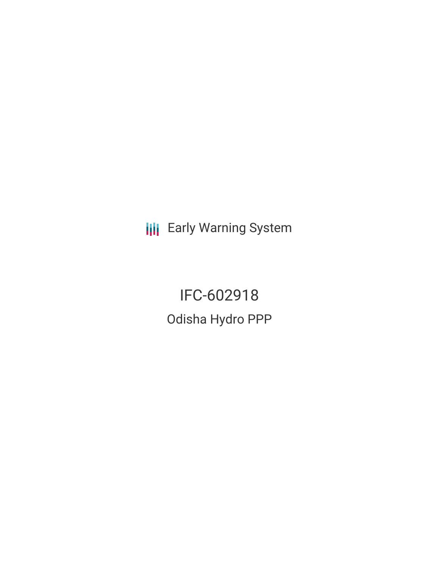**III** Early Warning System

IFC-602918 Odisha Hydro PPP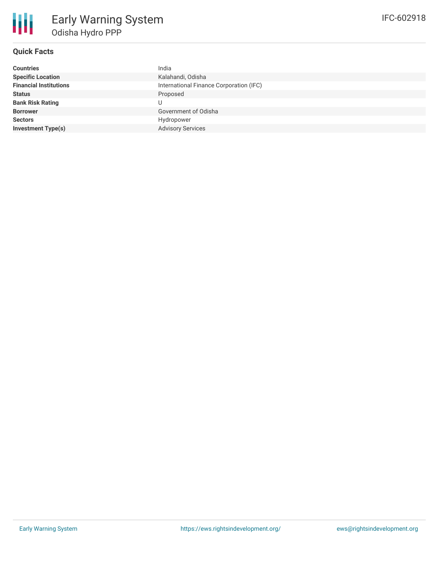# **Quick Facts**

冊

| <b>Countries</b>              | India                                   |
|-------------------------------|-----------------------------------------|
| <b>Specific Location</b>      | Kalahandi, Odisha                       |
| <b>Financial Institutions</b> | International Finance Corporation (IFC) |
| <b>Status</b>                 | Proposed                                |
| <b>Bank Risk Rating</b>       |                                         |
| <b>Borrower</b>               | Government of Odisha                    |
| <b>Sectors</b>                | Hydropower                              |
| <b>Investment Type(s)</b>     | <b>Advisory Services</b>                |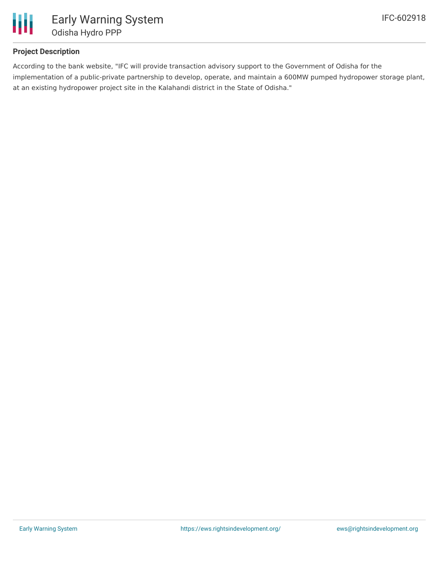

# **Project Description**

According to the bank website, "IFC will provide transaction advisory support to the Government of Odisha for the implementation of a public-private partnership to develop, operate, and maintain a 600MW pumped hydropower storage plant, at an existing hydropower project site in the Kalahandi district in the State of Odisha."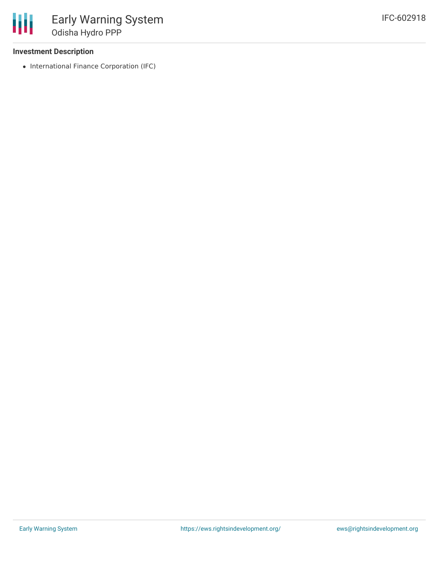### **Investment Description**

• International Finance Corporation (IFC)